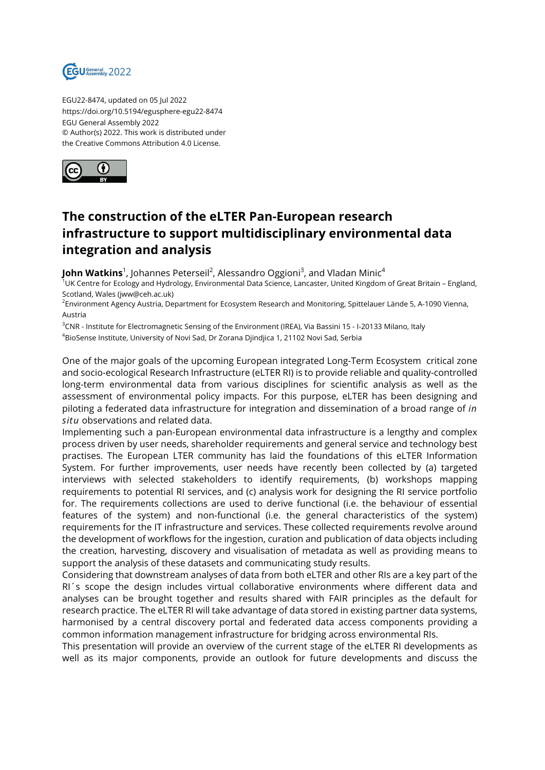

EGU22-8474, updated on 05 Jul 2022 https://doi.org/10.5194/egusphere-egu22-8474 EGU General Assembly 2022 © Author(s) 2022. This work is distributed under the Creative Commons Attribution 4.0 License.



## **The construction of the eLTER Pan-European research infrastructure to support multidisciplinary environmental data integration and analysis**

**John Watkins**<sup>1</sup>, Johannes Peterseil<sup>2</sup>, Alessandro Oggioni<sup>3</sup>, and Vladan Minic<sup>4</sup>

<sup>1</sup>UK Centre for Ecology and Hydrology, Environmental Data Science, Lancaster, United Kingdom of Great Britain – England, Scotland, Wales (jww@ceh.ac.uk)

<sup>2</sup>Environment Agency Austria, Department for Ecosystem Research and Monitoring, Spittelauer Lände 5, A-1090 Vienna, Austria

<sup>3</sup>CNR - Institute for Electromagnetic Sensing of the Environment (IREA), Via Bassini 15 - I-20133 Milano, Italy <sup>4</sup>BioSense Institute, University of Novi Sad, Dr Zorana Djindjica 1, 21102 Novi Sad, Serbia

One of the major goals of the upcoming European integrated Long-Term Ecosystem critical zone and socio-ecological Research Infrastructure (eLTER RI) is to provide reliable and quality-controlled long-term environmental data from various disciplines for scientific analysis as well as the assessment of environmental policy impacts. For this purpose, eLTER has been designing and piloting a federated data infrastructure for integration and dissemination of a broad range of *in situ* observations and related data.

Implementing such a pan-European environmental data infrastructure is a lengthy and complex process driven by user needs, shareholder requirements and general service and technology best practises. The European LTER community has laid the foundations of this eLTER Information System. For further improvements, user needs have recently been collected by (a) targeted interviews with selected stakeholders to identify requirements, (b) workshops mapping requirements to potential RI services, and (c) analysis work for designing the RI service portfolio for. The requirements collections are used to derive functional (i.e. the behaviour of essential features of the system) and non-functional (i.e. the general characteristics of the system) requirements for the IT infrastructure and services. These collected requirements revolve around the development of workflows for the ingestion, curation and publication of data objects including the creation, harvesting, discovery and visualisation of metadata as well as providing means to support the analysis of these datasets and communicating study results.

Considering that downstream analyses of data from both eLTER and other RIs are a key part of the RI´s scope the design includes virtual collaborative environments where different data and analyses can be brought together and results shared with FAIR principles as the default for research practice. The eLTER RI will take advantage of data stored in existing partner data systems, harmonised by a central discovery portal and federated data access components providing a common information management infrastructure for bridging across environmental RIs.

This presentation will provide an overview of the current stage of the eLTER RI developments as well as its major components, provide an outlook for future developments and discuss the